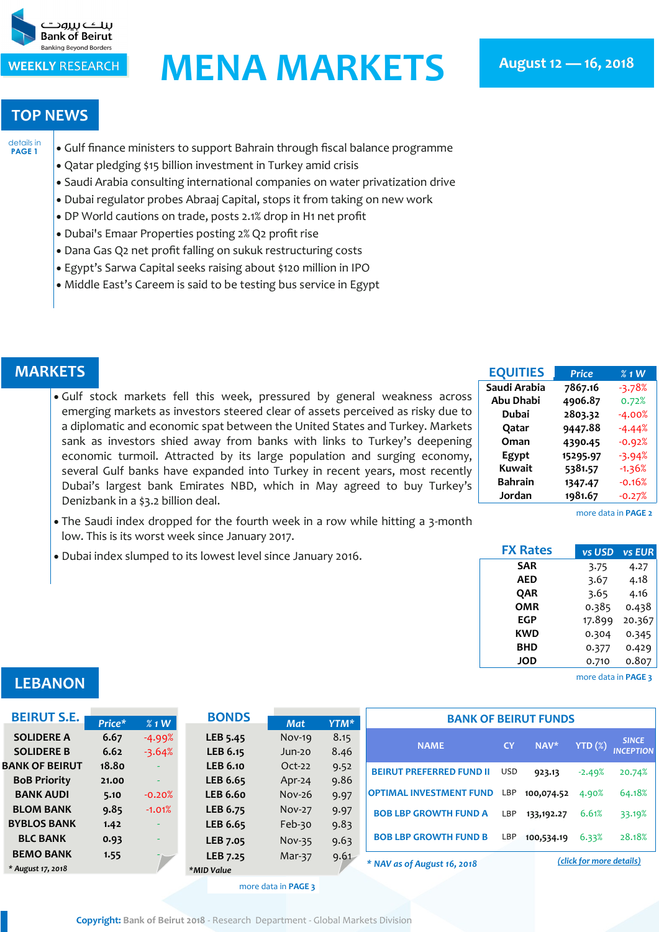<span id="page-0-0"></span>

# WEEKLY RESEARCH **MENA MARKETS** August 12 — 16, 2018

### **TOP NEWS**

#### [details in](#page-1-0)  **[PAGE 1](#page-1-0)**

- Gulf finance ministers to support Bahrain through fiscal balance programme
	- Qatar pledging \$15 billion investment in Turkey amid crisis
	- Saudi Arabia consulting international companies on water privatization drive
	- Dubai regulator probes Abraaj Capital, stops it from taking on new work
	- DP World cautions on trade, posts 2.1% drop in H1 net profit
	- Dubai's Emaar Properties posting 2% Q2 profit rise
	- Dana Gas Q2 net profit falling on sukuk restructuring costs
	- Egypt's Sarwa Capital seeks raising about \$120 million in IPO
	- Middle East's Careem is said to be testing bus service in Egypt

### **MARKETS**

- Gulf stock markets fell this week, pressured by general weakness across emerging markets as investors steered clear of assets perceived as risky due to a diplomatic and economic spat between the United States and Turkey. Markets sank as investors shied away from banks with links to Turkey's deepening economic turmoil. Attracted by its large population and surging economy, several Gulf banks have expanded into Turkey in recent years, most recently Dubai's largest bank Emirates NBD, which in May agreed to buy Turkey's Denizbank in a \$3.2 billion deal.
- The Saudi index dropped for the fourth week in a row while hitting a 3-month low. This is its worst week since January 2017.
- **Dubai index slumped to its lowest level since January 2016.**

| <b>EQUITIES</b> | <b>Price</b> | $%1$ W   |
|-----------------|--------------|----------|
| Saudi Arabia    | 7867.16      | $-3.78%$ |
| Abu Dhabi       | 4906.87      | 0.72%    |
| <b>Dubai</b>    | 2803.32      | $-4.00%$ |
| Qatar           | 9447.88      | $-4.44%$ |
| Oman            | 4390.45      | $-0.92%$ |
| Egypt           | 15295.97     | $-3.94%$ |
| Kuwait          | 5381.57      | $-1.36%$ |
| <b>Bahrain</b>  | 1347-47      | $-0.16%$ |
| Jordan          | 1981.67      | $-0.27%$ |
|                 |              |          |

[more data in](#page-2-0) **PAGE 2**

| <b>FX Rates</b> | vs USD | vs EUR |
|-----------------|--------|--------|
| SAR             | 3.75   | 4.27   |
| AED             | 3.67   | 4.18   |
| QAR             | 3.65   | 4.16   |
| <b>OMR</b>      | 0.385  | 0.438  |
| EGP             | 17.899 | 20.367 |
| KWD             | 0.304  | 0.345  |
| <b>BHD</b>      | 0.377  | 0.429  |
| JOD             | 0.710  | 0.807  |

[more data in](#page-3-0) **PAGE 3**

|  | <b>LEBANON</b> |  |
|--|----------------|--|
|  |                |  |

| <b>BEIRUT S.E.</b>    |        |          | <b>BONDS</b>    |            |      | <b>BANK OF BEIRUT FUNDS</b>     |            |              |           |                          |  |
|-----------------------|--------|----------|-----------------|------------|------|---------------------------------|------------|--------------|-----------|--------------------------|--|
|                       | Price* | %1W      |                 | <b>Mat</b> | YTM* |                                 |            |              |           |                          |  |
| <b>SOLIDERE A</b>     | 6.67   | $-4.99%$ | LEB 5.45        | $Nov-19$   | 8.15 | <b>NAME</b>                     | <b>CY</b>  | NAV*         |           | <b>SINCE</b>             |  |
| <b>SOLIDERE B</b>     | 6.62   | $-3.64%$ | LEB 6.15        | Jun-20     | 8.46 |                                 |            |              | YTD $(X)$ | <b>INCEPTION</b>         |  |
| <b>BANK OF BEIRUT</b> | 18.80  |          | <b>LEB 6.10</b> | $Oct-22$   | 9.52 | <b>BEIRUT PREFERRED FUND II</b> | <b>USD</b> | 923.13       | $-2.49%$  | 20.74%                   |  |
| <b>BoB Priority</b>   | 21.00  |          | LEB 6.65        | $Apr-24$   | 9.86 |                                 |            |              |           |                          |  |
| <b>BANK AUDI</b>      | 5.10   | $-0.20%$ | <b>LEB 6.60</b> | $Nov-26$   | 9.97 | <b>OPTIMAL INVESTMENT FUND</b>  | LBP        | 100,074.52   | 4.90%     | 64.18%                   |  |
| <b>BLOM BANK</b>      | 9.85   | $-1.01%$ | LEB 6.75        | Nov-27     | 9.97 | <b>BOB LBP GROWTH FUND A</b>    | LBP        | 133, 192. 27 | 6.61%     | 33.19%                   |  |
| <b>BYBLOS BANK</b>    | 1.42   |          | LEB 6.65        | Feb-30     | 9.83 |                                 |            |              |           |                          |  |
| <b>BLC BANK</b>       | 0.93   |          | LEB 7.05        | $Nov-35$   | 9.63 | <b>BOB LBP GROWTH FUND B</b>    | LBP        | 100,534.19   | 6.33%     | 28.18%                   |  |
| <b>BEMO BANK</b>      | 1.55   |          | LEB 7.25        | Mar-37     | 9.61 |                                 |            |              |           |                          |  |
| * August 17, 2018     |        |          | *MID Value      |            |      | * NAV as of August 16, 2018     |            |              |           | (click for more details) |  |

[more data in](#page-3-0) **PAGE 3**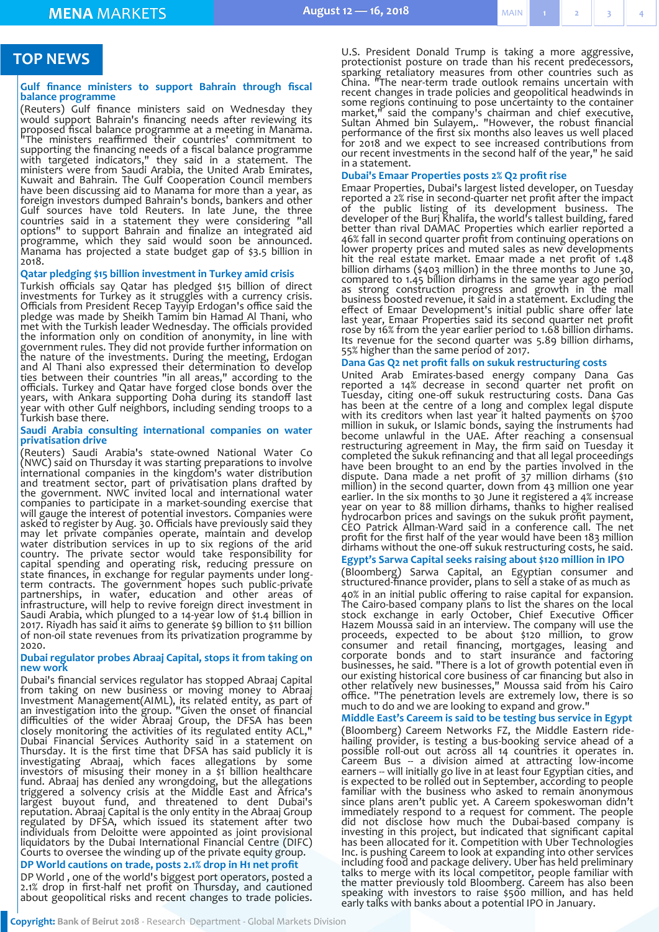### <span id="page-1-0"></span>**TOP NEWS**

#### **Gulf finance ministers to support Bahrain through fiscal balance programme**

(Reuters) Gulf finance ministers said on Wednesday they would support Bahrain's financing needs after reviewing its proposed fiscal balance programme at a meeting in Manama. "The ministers reaffirmed their countries' commitment to supporting the financing needs of a fiscal balance programme with targeted indicators," they said in a statement. The ministers were from Saudi Arabia, the United Arab Emirates, Kuwait and Bahrain. The Gulf Cooperation Council members have been discussing aid to Manama for more than a year, as foreign investors dumped Bahrain's bonds, bankers and other Gulf sources have told Reuters. In late June, the three countries said in a statement they were considering "all options" to support Bahrain and finalize an integrated aid programme, which they said would soon be announced. Manama has projected a state budget gap of \$3.5 billion in 2018.

#### **Qatar pledging \$15 billion investment in Turkey amid crisis**

Turkish officials say Qatar has pledged \$15 billion of direct investments for Turkey as it struggles with a currency crisis. Officials from President Recep Tayyip Erdogan's office said the pledge was made by Sheikh Tamim bin Hamad Al Thani, who met with the Turkish leader Wednesday. The officials provided the information only on condition of anonymity, in line with government rules. They did not provide further information on the nature of the investments. During the meeting, Erdogan and Al Thani also expressed their determination to develop ties between their countries "in all areas," according to the officials. Turkey and Qatar have forged close bonds over the years, with Ankara supporting Doha during its standoff last year with other Gulf neighbors, including sending troops to a Turkish base there.

#### **Saudi Arabia consulting international companies on water privatisation drive**

Reuters) Saudi Arabia's state-owned National Water Co (NWC) said on Thursday it was starting preparations to involve international companies in the kingdom's water distribution and treatment sector, part of privatisation plans drafted by the government. NWC invited local and international water companies to participate in a market-sounding exercise that will gauge the interest of potential investors. Companies were asked to register by Aug. 30. Officials have previously said they may let private companies operate, maintain and develop water distribution services in up to six regions of the arid country. The private sector would take responsibility for capital spending and operating risk, reducing pressure on state finances, in exchange for regular payments under longterm contracts. The government hopes such public-private partnerships, in water, education and other areas of infrastructure, will help to revive foreign direct investment in Saudi Arabia, which plunged to a 14-year low of \$1.4 billion in 2017. Riyadh has said it aims to generate \$9 billion to \$11 billion of non-oil state revenues from its privatization programme by 2020.

#### **Dubai regulator probes Abraaj Capital, stops it from taking on new work**

Dubai's financial services regulator has stopped Abraaj Capital from taking on new business or moving money to Abraaj Investment Management(AIML), its related entity, as part of an investigation into the group. "Given the onset of financial difficulties of the wider Abraaj Group, the DFSA has been closely monitoring the activities of its regulated entity ACL," Dubai Financial Services Authority said in a statement on Thursday. It is the first time that DFSA has said publicly it is investigating Abraaj, which faces allegations by some investors of misusing their money in a \$1 billion healthcare fund. Abraaj has denied any wrongdoing, but the allegations triggered a solvency crisis at the Middle East and Africa's largest buyout fund, and threatened to dent Dubai's reputation. Abraaj Capital is the only entity in the Abraaj Group regulated by DFSA, which issued its statement after two individuals from Deloitte were appointed as joint provisional liquidators by the Dubai International Financial Centre (DIFC) Courts to oversee the winding up of the private equity group.

#### **DP World cautions on trade, posts 2.1% drop in H1 net profit**

DP World , one of the world's biggest port operators, posted a 2.1% drop in first-half net profit on Thursday, and cautioned about geopolitical risks and recent changes to trade policies.

U.S. President Donald Trump is taking a more aggressive, protectionist posture on trade than his recent predecessors, sparking retaliatory measures from other countries such as China. "The near-term trade outlook remains uncertain with recent changes in trade policies and geopolitical headwinds in some regions continuing to pose uncertainty to the container market," said the company's chairman and chief executive, Sultan Ahmed bin Sulayem,. "However, the robust financial performance of the first six months also leaves us well placed for 2018 and we expect to see increased contributions from our recent investments in the second half of the year," he said in a statement.

#### **Dubai's Emaar Properties posts 2% Q2 profit rise**

Emaar Properties, Dubai's largest listed developer, on Tuesday reported a 2% rise in second-quarter net profit after the impact of the public listing of its development business. The developer of the Burj Khalifa, the world's tallest building, fared better than rival DAMAC Properties which earlier reported a 46% fall in second quarter profit from continuing operations on lower property prices and muted sales as new developments hit the real estate market. Emaar made a net profit of 1.48 billion dirhams (\$403 million) in the three months to June 30, compared to 1.45 billion dirhams in the same year ago period as strong construction progress and growth in the mall business boosted revenue, it said in a statement. Excluding the effect of Emaar Development's initial public share offer late last year, Emaar Properties said its second quarter net profit rose by 16% from the year earlier period to 1.68 billion dirhams. Its revenue for the second quarter was 5.89 billion dirhams, 55% higher than the same period of 2017.

#### **Dana Gas Q2 net profit falls on sukuk restructuring costs**

United Arab Emirates-based energy company Dana Gas reported a 14% decrease in second quarter net profit on Tuesday, citing one-off sukuk restructuring costs. Dana Gas has been at the centre of a long and complex legal dispute with its creditors when last year it halted payments on \$700 million in sukuk, or Islamic bonds, saying the instruments had become unlawful in the UAE. After reaching a consensual restructuring agreement in May, the firm said on Tuesday it completed the sukuk refinancing and that all legal proceedings have been brought to an end by the parties involved in the dispute. Dana made a net profit of 37 million dirhams (\$10 million) in the second quarter, down from 43 million one year earlier. In the six months to 30 June it registered a 4% increase year on year to 88 million dirhams, thanks to higher realised hydrocarbon prices and savings on the sukuk profit payment, CEO Patrick Allman-Ward said in a conference call. The net profit for the first half of the year would have been 183 million dirhams without the one-off sukuk restructuring costs, he said.

#### **Egypt's Sarwa Capital seeks raising about \$120 million in IPO**

(Bloomberg) Sarwa Capital, an Egyptian consumer and structured-finance provider, plans to sell a stake of as much as 40% in an initial public offering to raise capital for expansion. The Cairo-based company plans to list the shares on the local stock exchange in early October, Chief Executive Officer Hazem Moussa said in an interview. The company will use the proceeds, expected to be about \$120 million, to grow consumer and retail financing, mortgages, leasing and corporate bonds and to start insurance and factoring businesses, he said. "There is a lot of growth potential even in our existing historical core business of car financing but also in other relatively new businesses," Moussa said from his Cairo office. "The penetration levels are extremely low, there is so much to do and we are looking to expand and grow."

#### **Middle East's Careem is said to be testing bus service in Egypt**

(Bloomberg) Careem Networks FZ, the Middle Eastern ridehailing provider, is testing a bus-booking service ahead of a possible roll-out out across all 14 countries it operates in. Careem Bus -- a division aimed at attracting low-income earners -- will initially go live in at least four Egyptian cities, and is expected to be rolled out in September, according to people familiar with the business who asked to remain anonymous since plans aren't public yet. A Careem spokeswoman didn't immediately respond to a request for comment. The people did not disclose how much the Dubai-based company is investing in this project, but indicated that significant capital has been allocated for it. Competition with Uber Technologies Inc. is pushing Careem to look at expanding into other services including food and package delivery. Uber has held preliminary talks to merge with its local competitor, people familiar with the matter previously told Bloomberg. Careem has also been speaking with investors to raise \$500 million, and has held early talks with banks about a potential IPO in January.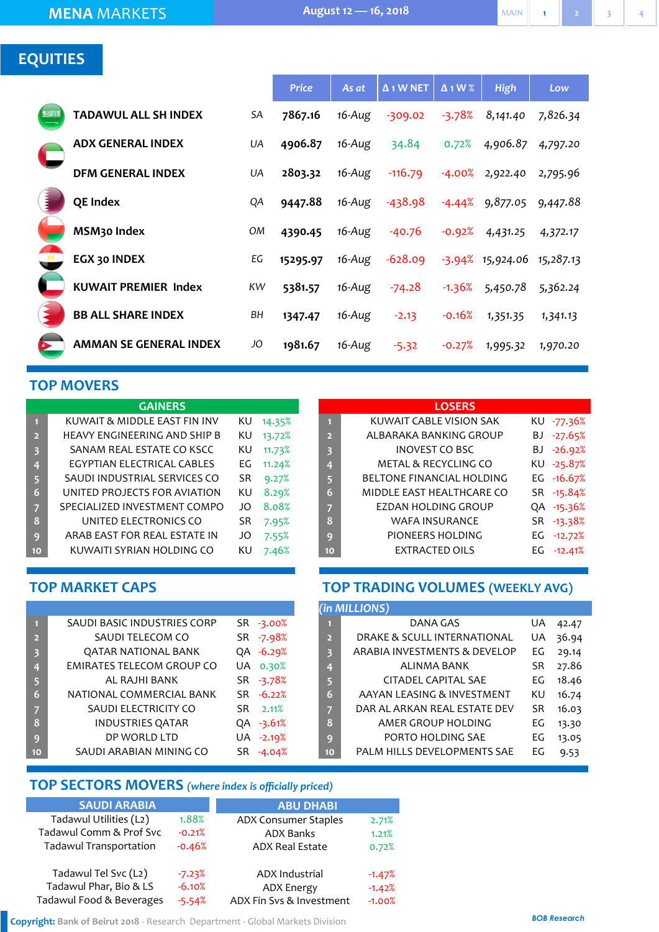## <span id="page-2-0"></span>**EQUITIES**

|      |                               |     | <b>Price</b> | As at  | $\Delta$ 1 W NET | $\Delta$ 1 W % | <b>High</b>         | Low       |
|------|-------------------------------|-----|--------------|--------|------------------|----------------|---------------------|-----------|
| 发发以对 | TADAWUL ALL SH INDEX          | SA  | 7867.16      | 16-Aug | $-309.02$        | $-3.78%$       | 8,141.40            | 7,826.34  |
|      | <b>ADX GENERAL INDEX</b>      | UA  | 4906.87      | 16-Aug | 34.84            | 0.72%          | 4,906.87            | 4,797.20  |
|      | <b>DFM GENERAL INDEX</b>      | UA  | 2803.32      | 16-Aug | $-116.79$        | $-4.00\%$      | 2,922.40            | 2,795.96  |
|      | <b>QE Index</b>               | QA  | 9447.88      | 16-Aug | -438.98          | $-4.44%$       | 9,877.05            | 9,447.88  |
|      | MSM30 Index                   | OМ  | 4390.45      | 16-Aug | -40.76           | $-0.92%$       | 4,431.25            | 4,372.17  |
|      | EGX 30 INDEX                  | EG  | 15295.97     | 16-Aug | $-628.09$        |                | $-3.94\%$ 15,924.06 | 15,287.13 |
|      | <b>KUWAIT PREMIER Index</b>   | KW. | 5381.57      | 16-Aug | $-74.28$         | $-1.36%$       | 5,450.78            | 5,362.24  |
|      | <b>BB ALL SHARE INDEX</b>     | BН  | 1347.47      | 16-Aug | $-2.13$          | $-0.16%$       | 1,351.35            | 1,341.13  |
|      | <b>AMMAN SE GENERAL INDEX</b> | JO  | 1981.67      | 16-Aug | $-5.32$          | $-0.27%$       | 1,995.32            | 1,970.20  |

### **TOP MOVERS**

| <b>GAINERS</b> |                                     |    |        |  |  |  |  |  |
|----------------|-------------------------------------|----|--------|--|--|--|--|--|
| 1              | KUWAIT & MIDDLE EAST FIN INV        | ΚU | 14.35% |  |  |  |  |  |
| $\overline{2}$ | <b>HEAVY ENGINEERING AND SHIP B</b> | ΚU | 13.72% |  |  |  |  |  |
| 3              | SANAM REAL ESTATE CO KSCC           | ΚU | 11.73% |  |  |  |  |  |
| 4              | EGYPTIAN ELECTRICAL CABLES          | EG | 11.24% |  |  |  |  |  |
| 5              | SAUDI INDUSTRIAL SERVICES CO        | SR | 9.27%  |  |  |  |  |  |
| 6              | UNITED PROJECTS FOR AVIATION        | ΚU | 8.29%  |  |  |  |  |  |
| 7              | SPECIALIZED INVESTMENT COMPO        | JO | 8.08%  |  |  |  |  |  |
| 8              | UNITED ELECTRONICS CO               | SR | 7.95%  |  |  |  |  |  |
| q              | ARAB EAST FOR REAL ESTATE IN        | JO | 7.55%  |  |  |  |  |  |
| 10             | KUWAITI SYRIAN HOLDING CO           | ΚU | 7.46%  |  |  |  |  |  |

| <b>LOSERS</b>  |                                 |                 |  |  |  |  |  |  |
|----------------|---------------------------------|-----------------|--|--|--|--|--|--|
| п              | KUWAIT CABLE VISION SAK         | KU -77.36%      |  |  |  |  |  |  |
| $\overline{2}$ | ALBARAKA BANKING GROUP          | BJ -27.65%      |  |  |  |  |  |  |
| 3              | <b>INOVEST CO BSC</b>           | BJ -26.92%      |  |  |  |  |  |  |
| $\overline{4}$ | <b>METAL &amp; RECYCLING CO</b> | KU -25.87%      |  |  |  |  |  |  |
| 5              | BELTONE FINANCIAL HOLDING       | EG -16.67%      |  |  |  |  |  |  |
| 6              | MIDDLE EAST HEALTHCARE CO       | SR -15.84%      |  |  |  |  |  |  |
| 7              | EZDAN HOLDING GROUP             | QA -15.36%      |  |  |  |  |  |  |
| 8              | WAFA INSURANCE                  | SR -13.38%      |  |  |  |  |  |  |
| 9              | PIONEERS HOLDING                | EG $-12.72%$    |  |  |  |  |  |  |
| 10             | <b>EXTRACTED OILS</b>           | $-12.41%$<br>EG |  |  |  |  |  |  |

### **TOP MARKET CAPS**

| П  | SAUDI BASIC INDUSTRIES CORP      | SR -3.00%       |
|----|----------------------------------|-----------------|
| 2  | SAUDI TELECOM CO                 | SR -7.98%       |
| 3  | QATAR NATIONAL BANK              | QA -6.29%       |
| 4  | <b>EMIRATES TELECOM GROUP CO</b> | UA 0.30%        |
| 5  | AL RAJHI BANK                    | SR -3.78%       |
| 6  | NATIONAL COMMERCIAL BANK         | $-6.22%$<br>SR. |
| 7  | SAUDI ELECTRICITY CO             | SR<br>2.11%     |
| 8  | <b>INDUSTRIES QATAR</b>          | QA -3.61%       |
| 9  | DP WORLD LTD                     | UA -2.19%       |
| 10 | SAUDI ARABIAN MINING CO          | $-4.04%$        |

### **TOP TRADING VOLUMES (WEEKLY AVG)**

|                         | (in MILLIONS)                      |           |       |  |  |  |  |  |  |  |
|-------------------------|------------------------------------|-----------|-------|--|--|--|--|--|--|--|
|                         | DANA GAS                           | UA        | 42.47 |  |  |  |  |  |  |  |
| 2                       | DRAKE & SCULL INTERNATIONAL        | UA        | 36.94 |  |  |  |  |  |  |  |
| $\overline{\mathbf{3}}$ | ARABIA INVESTMENTS & DEVELOP       | EG        | 29.14 |  |  |  |  |  |  |  |
| 4                       | ALINMA BANK                        | SR        | 27.86 |  |  |  |  |  |  |  |
| 5                       | CITADEL CAPITAL SAE                | EG        | 18.46 |  |  |  |  |  |  |  |
| 6                       | AAYAN LEASING & INVESTMENT         | KU        | 16.74 |  |  |  |  |  |  |  |
| 7                       | DAR AL ARKAN REAL ESTATE DEV       | <b>SR</b> | 16.03 |  |  |  |  |  |  |  |
| 8                       | AMER GROUP HOLDING                 | EG        | 13.30 |  |  |  |  |  |  |  |
| q                       | PORTO HOLDING SAE                  | EG        | 13.05 |  |  |  |  |  |  |  |
| 10                      | <b>PALM HILLS DEVELOPMENTS SAE</b> | FG        | 9.53  |  |  |  |  |  |  |  |

### **TOP SECTORS MOVERS** *(where index is officially priced)*

| <b>SAUDI ARABIA</b>      |          | <b>ABU DHABI</b>         |          |
|--------------------------|----------|--------------------------|----------|
| Tadawul Utilities (L2)   | 1.88%    | ADX Consumer Staples     | 2.71%    |
| Tadawul Comm & Prof Svc  | $-0.21%$ | <b>ADX Banks</b>         | 1.21%    |
| Tadawul Transportation   | $-0.46%$ | <b>ADX Real Estate</b>   | 0.72%    |
|                          |          |                          |          |
| Tadawul Tel Svc (L2)     | $-7.23%$ | <b>ADX</b> Industrial    | $-1.47%$ |
| Tadawul Phar, Bio & LS   | $-6.10%$ | <b>ADX Energy</b>        | $-1.42%$ |
| Tadawul Food & Beverages | $-5.54%$ | ADX Fin Svs & Investment | $-1.00%$ |

**Copyright: Bank of Beirut 2018** - Research Department - Global Markets Division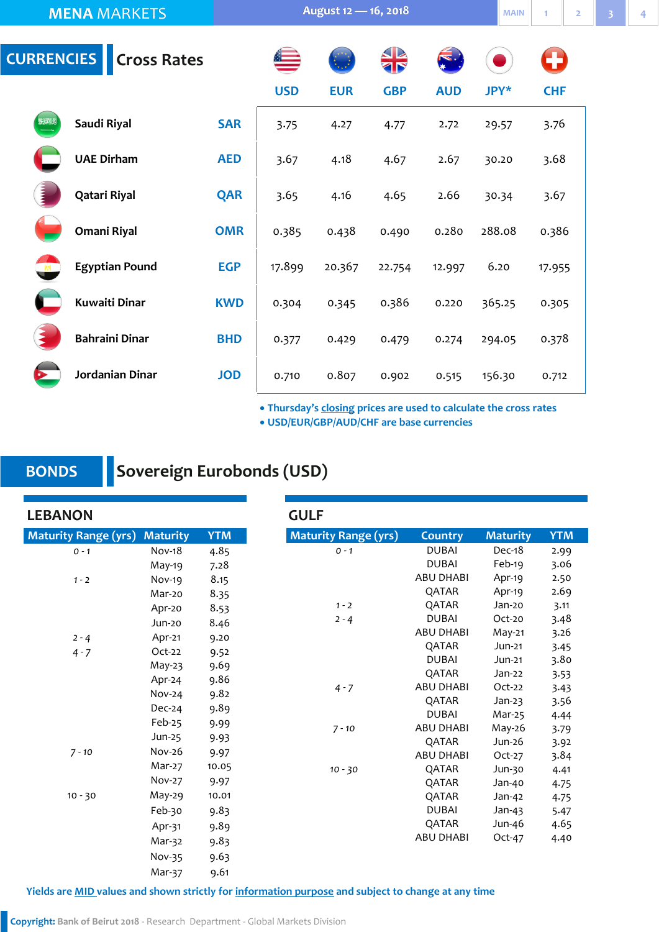<span id="page-3-0"></span>

|    | <b>MENA MARKETS</b>           |            |            | August 12 - 16, 2018 |            |            | <b>MAIN</b> |            |  |  |
|----|-------------------------------|------------|------------|----------------------|------------|------------|-------------|------------|--|--|
|    | <b>CURRENCIES</b> Cross Rates |            |            |                      | <b>SIA</b> |            |             | O          |  |  |
|    |                               |            | <b>USD</b> | <b>EUR</b>           | <b>GBP</b> | <b>AUD</b> | JPY*        | <b>CHF</b> |  |  |
| 影響 | Saudi Riyal                   | <b>SAR</b> | 3.75       | 4.27                 | 4.77       | 2.72       | 29.57       | 3.76       |  |  |
|    | <b>UAE Dirham</b>             | <b>AED</b> | 3.67       | 4.18                 | 4.67       | 2.67       | 30.20       | 3.68       |  |  |
|    | Qatari Riyal                  | <b>QAR</b> | 3.65       | 4.16                 | 4.65       | 2.66       | 30.34       | 3.67       |  |  |
|    | Omani Riyal                   | <b>OMR</b> | 0.385      | 0.438                | 0.490      | 0.280      | 288.08      | 0.386      |  |  |
|    | <b>Egyptian Pound</b>         | <b>EGP</b> | 17.899     | 20.367               | 22.754     | 12.997     | 6.20        | 17.955     |  |  |
|    | <b>Kuwaiti Dinar</b>          | <b>KWD</b> | 0.304      | 0.345                | 0.386      | 0.220      | 365.25      | 0.305      |  |  |
|    | <b>Bahraini Dinar</b>         | <b>BHD</b> | 0.377      | 0.429                | 0.479      | 0.274      | 294.05      | 0.378      |  |  |
|    | Jordanian Dinar               | <b>JOD</b> | 0.710      | 0.807                | 0.902      | 0.515      | 156.30      | 0.712      |  |  |

**Thursday's closing prices are used to calculate the cross rates**

**USD/EUR/GBP/AUD/CHF are base currencies**

### **BONDS**

### **Sovereign Eurobonds (USD)**

**LEBANON Maturity Range (yrs) Country Maturity YTM** *0 - 1* DUBAI Dec-18 2.99 DUBAI Feb-19 3.06 ABU DHABI Apr-19 2.50 QATAR Apr-19 2.69 *1 - 2* QATAR Jan-20 3.11 *2 - 4* DUBAI Oct-20 3.48 ABU DHABI May-21 3.26 QATAR Jun-21 3.45 DUBAI Jun-21 3.80 QATAR Jan-22 3.53 *4 - 7* ABU DHABI Oct-22 3.43 QATAR Jan-23 3.56 DUBAI Mar-25 4.44 *7 - 10* ABU DHABI May-26 3.79 QATAR Jun-26 3.92 ABU DHABI Oct-27 3.84 *10 - 30* QATAR Jun-30 4.41 QATAR Jan-40 4.75 QATAR Jan-42 4.75 DUBAI Jan-43 5.47 QATAR Jun-46 4.65 ABU DHABI Oct-47 4.40 **Maturity Range (yrs) Maturity YTM** *0 - 1* Nov-18 4.85 May-19 7.28 *1 - 2* Nov-19 8.15 Mar-20 8.35 Apr-20 8.53 Jun-20 8.46 *2 - 4* Apr-21 9.20 *4 - 7* Oct-22 9.52 May-23 9.69 Apr-24 9.86 Nov-24 9.82 Dec-24 9.89 Feb-25 9.99 Jun-25 9.93 *7 - 10* Nov-26 9.97 Mar-27 10.05 Nov-27 9.97 10 - 30 May-29 10.01 Feb-30 9.83 Apr-31 9.89 Mar-32 9.83 Nov-35 9.63 Mar-37 9.61 **GULF** 

**Yields are MID values and shown strictly for information purpose and subject to change at any time**